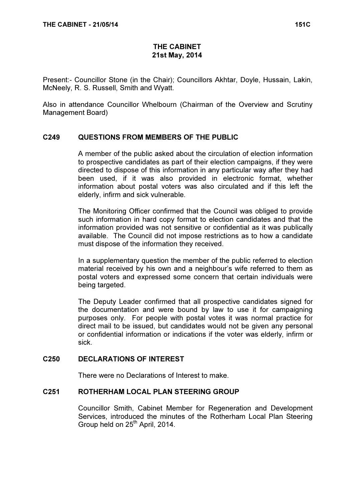# THE CABINET 21st May, 2014

Present:- Councillor Stone (in the Chair); Councillors Akhtar, Doyle, Hussain, Lakin, McNeely, R. S. Russell, Smith and Wyatt.

Also in attendance Councillor Whelbourn (Chairman of the Overview and Scrutiny Management Board)

# C249 QUESTIONS FROM MEMBERS OF THE PUBLIC

 A member of the public asked about the circulation of election information to prospective candidates as part of their election campaigns, if they were directed to dispose of this information in any particular way after they had been used, if it was also provided in electronic format, whether information about postal voters was also circulated and if this left the elderly, infirm and sick vulnerable.

The Monitoring Officer confirmed that the Council was obliged to provide such information in hard copy format to election candidates and that the information provided was not sensitive or confidential as it was publically available. The Council did not impose restrictions as to how a candidate must dispose of the information they received.

In a supplementary question the member of the public referred to election material received by his own and a neighbour's wife referred to them as postal voters and expressed some concern that certain individuals were being targeted.

The Deputy Leader confirmed that all prospective candidates signed for the documentation and were bound by law to use it for campaigning purposes only. For people with postal votes it was normal practice for direct mail to be issued, but candidates would not be given any personal or confidential information or indications if the voter was elderly, infirm or sick.

# C250 DECLARATIONS OF INTEREST

There were no Declarations of Interest to make.

#### C251 ROTHERHAM LOCAL PLAN STEERING GROUP

 Councillor Smith, Cabinet Member for Regeneration and Development Services, introduced the minutes of the Rotherham Local Plan Steering Group held on 25<sup>th</sup> April, 2014.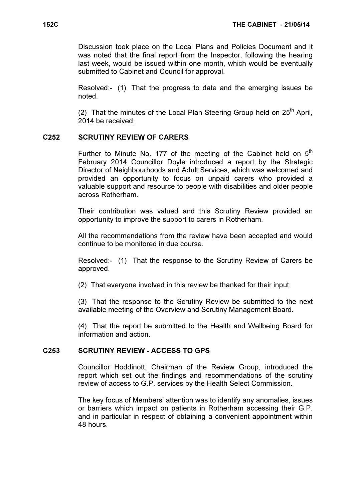Discussion took place on the Local Plans and Policies Document and it was noted that the final report from the Inspector, following the hearing last week, would be issued within one month, which would be eventually submitted to Cabinet and Council for approval.

Resolved:- (1) That the progress to date and the emerging issues be noted.

(2) That the minutes of the Local Plan Steering Group held on  $25<sup>th</sup>$  April, 2014 be received.

#### C252 SCRUTINY REVIEW OF CARERS

Further to Minute No. 177 of the meeting of the Cabinet held on  $5<sup>th</sup>$ February 2014 Councillor Doyle introduced a report by the Strategic Director of Neighbourhoods and Adult Services, which was welcomed and provided an opportunity to focus on unpaid carers who provided a valuable support and resource to people with disabilities and older people across Rotherham.

Their contribution was valued and this Scrutiny Review provided an opportunity to improve the support to carers in Rotherham.

All the recommendations from the review have been accepted and would continue to be monitored in due course.

Resolved:- (1) That the response to the Scrutiny Review of Carers be approved.

(2) That everyone involved in this review be thanked for their input.

(3) That the response to the Scrutiny Review be submitted to the next available meeting of the Overview and Scrutiny Management Board.

(4) That the report be submitted to the Health and Wellbeing Board for information and action.

#### C253 SCRUTINY REVIEW - ACCESS TO GPS

 Councillor Hoddinott, Chairman of the Review Group, introduced the report which set out the findings and recommendations of the scrutiny review of access to G.P. services by the Health Select Commission.

The key focus of Members' attention was to identify any anomalies, issues or barriers which impact on patients in Rotherham accessing their G.P. and in particular in respect of obtaining a convenient appointment within 48 hours.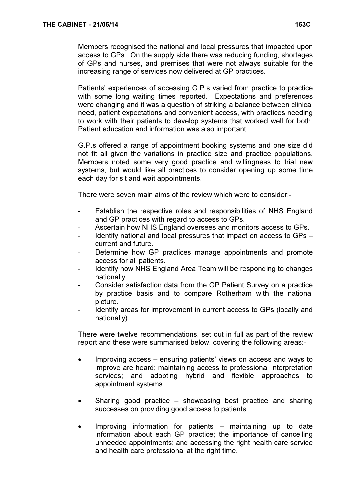Members recognised the national and local pressures that impacted upon access to GPs. On the supply side there was reducing funding, shortages of GPs and nurses, and premises that were not always suitable for the increasing range of services now delivered at GP practices.

Patients' experiences of accessing G.P.s varied from practice to practice with some long waiting times reported. Expectations and preferences were changing and it was a question of striking a balance between clinical need, patient expectations and convenient access, with practices needing to work with their patients to develop systems that worked well for both. Patient education and information was also important.

G.P.s offered a range of appointment booking systems and one size did not fit all given the variations in practice size and practice populations. Members noted some very good practice and willingness to trial new systems, but would like all practices to consider opening up some time each day for sit and wait appointments.

There were seven main aims of the review which were to consider:-

- Establish the respective roles and responsibilities of NHS England and GP practices with regard to access to GPs.
- Ascertain how NHS England oversees and monitors access to GPs.
- Identify national and local pressures that impact on access to GPs current and future.
- Determine how GP practices manage appointments and promote access for all patients.
- Identify how NHS England Area Team will be responding to changes nationally.
- Consider satisfaction data from the GP Patient Survey on a practice by practice basis and to compare Rotherham with the national picture.
- Identify areas for improvement in current access to GPs (locally and nationally).

There were twelve recommendations, set out in full as part of the review report and these were summarised below, covering the following areas:-

- Improving access ensuring patients' views on access and ways to improve are heard; maintaining access to professional interpretation services; and adopting hybrid and flexible approaches to appointment systems.
- Sharing good practice showcasing best practice and sharing successes on providing good access to patients.
- Improving information for patients maintaining up to date information about each GP practice; the importance of cancelling unneeded appointments; and accessing the right health care service and health care professional at the right time.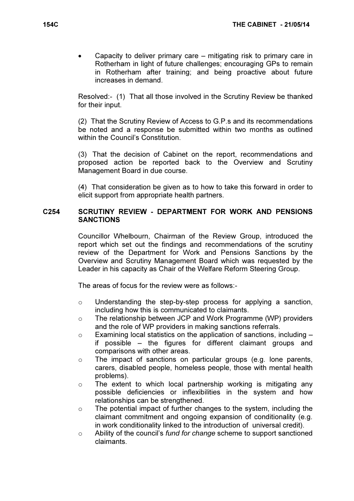• Capacity to deliver primary care – mitigating risk to primary care in Rotherham in light of future challenges; encouraging GPs to remain in Rotherham after training; and being proactive about future increases in demand.

Resolved:- (1) That all those involved in the Scrutiny Review be thanked for their input.

(2) That the Scrutiny Review of Access to G.P.s and its recommendations be noted and a response be submitted within two months as outlined within the Council's Constitution

(3) That the decision of Cabinet on the report, recommendations and proposed action be reported back to the Overview and Scrutiny Management Board in due course.

(4) That consideration be given as to how to take this forward in order to elicit support from appropriate health partners.

### C254 SCRUTINY REVIEW - DEPARTMENT FOR WORK AND PENSIONS **SANCTIONS**

 Councillor Whelbourn, Chairman of the Review Group, introduced the report which set out the findings and recommendations of the scrutiny review of the Department for Work and Pensions Sanctions by the Overview and Scrutiny Management Board which was requested by the Leader in his capacity as Chair of the Welfare Reform Steering Group.

The areas of focus for the review were as follows:-

- $\circ$  Understanding the step-by-step process for applying a sanction, including how this is communicated to claimants.
- o The relationship between JCP and Work Programme (WP) providers and the role of WP providers in making sanctions referrals.
- $\circ$  Examining local statistics on the application of sanctions, including  $$ if possible – the figures for different claimant groups and comparisons with other areas.
- o The impact of sanctions on particular groups (e.g. lone parents, carers, disabled people, homeless people, those with mental health problems).
- o The extent to which local partnership working is mitigating any possible deficiencies or inflexibilities in the system and how relationships can be strengthened.
- $\circ$  The potential impact of further changes to the system, including the claimant commitment and ongoing expansion of conditionality (e.g. in work conditionality linked to the introduction of universal credit).
- $\circ$  Ability of the council's fund for change scheme to support sanctioned claimants.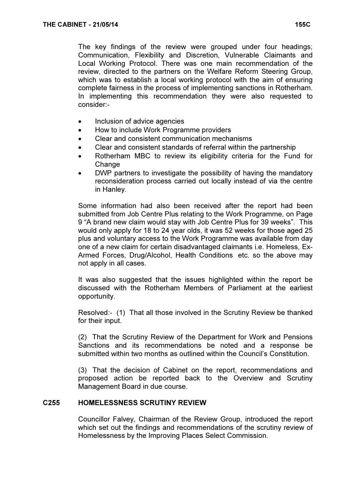The key findings of the review were grouped under four headings; Communication, Flexibility and Discretion, Vulnerable Claimants and Local Working Protocol. There was one main recommendation of the review, directed to the partners on the Welfare Reform Steering Group, which was to establish a local working protocol with the aim of ensuring complete fairness in the process of implementing sanctions in Rotherham. In implementing this recommendation they were also requested to consider:-

- Inclusion of advice agencies
- How to include Work Programme providers
- Clear and consistent communication mechanisms
- Clear and consistent standards of referral within the partnership
- Rotherham MBC to review its eligibility criteria for the Fund for Change
- DWP partners to investigate the possibility of having the mandatory reconsideration process carried out locally instead of via the centre in Hanley.

Some information had also been received after the report had been submitted from Job Centre Plus relating to the Work Programme, on Page 9 "A brand new claim would stay with Job Centre Plus for 39 weeks". This would only apply for 18 to 24 year olds, it was 52 weeks for those aged 25 plus and voluntary access to the Work Programme was available from day one of a new claim for certain disadvantaged claimants i.e. Homeless, Ex-Armed Forces, Drug/Alcohol, Health Conditions etc. so the above may not apply in all cases.

It was also suggested that the issues highlighted within the report be discussed with the Rotherham Members of Parliament at the earliest opportunity.

Resolved:- (1) That all those involved in the Scrutiny Review be thanked for their input.

(2) That the Scrutiny Review of the Department for Work and Pensions Sanctions and its recommendations be noted and a response be submitted within two months as outlined within the Council's Constitution.

(3) That the decision of Cabinet on the report, recommendations and proposed action be reported back to the Overview and Scrutiny Management Board in due course.

# C255 HOMELESSNESS SCRUTINY REVIEW

 Councillor Falvey, Chairman of the Review Group, introduced the report which set out the findings and recommendations of the scrutiny review of Homelessness by the Improving Places Select Commission.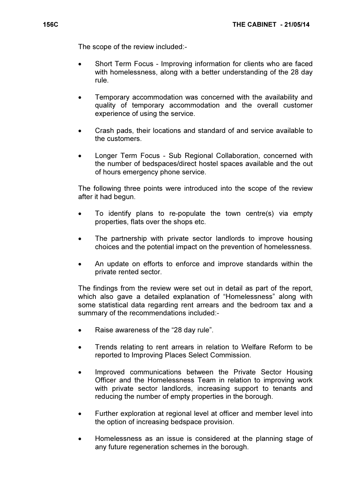The scope of the review included:-

- Short Term Focus Improving information for clients who are faced with homelessness, along with a better understanding of the 28 day rule.
- Temporary accommodation was concerned with the availability and quality of temporary accommodation and the overall customer experience of using the service.
- Crash pads, their locations and standard of and service available to the customers.
- Longer Term Focus Sub Regional Collaboration, concerned with the number of bedspaces/direct hostel spaces available and the out of hours emergency phone service.

The following three points were introduced into the scope of the review after it had begun.

- To identify plans to re-populate the town centre(s) via empty properties, flats over the shops etc.
- The partnership with private sector landlords to improve housing choices and the potential impact on the prevention of homelessness.
- An update on efforts to enforce and improve standards within the private rented sector.

The findings from the review were set out in detail as part of the report, which also gave a detailed explanation of "Homelessness" along with some statistical data regarding rent arrears and the bedroom tax and a summary of the recommendations included:-

- Raise awareness of the "28 day rule".
- Trends relating to rent arrears in relation to Welfare Reform to be reported to Improving Places Select Commission.
- Improved communications between the Private Sector Housing Officer and the Homelessness Team in relation to improving work with private sector landlords, increasing support to tenants and reducing the number of empty properties in the borough.
- Further exploration at regional level at officer and member level into the option of increasing bedspace provision.
- Homelessness as an issue is considered at the planning stage of any future regeneration schemes in the borough.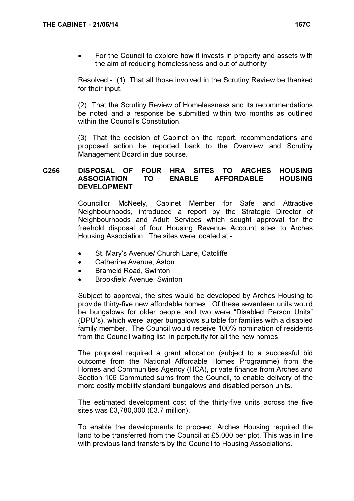• For the Council to explore how it invests in property and assets with the aim of reducing homelessness and out of authority

Resolved:- (1) That all those involved in the Scrutiny Review be thanked for their input.

(2) That the Scrutiny Review of Homelessness and its recommendations be noted and a response be submitted within two months as outlined within the Council's Constitution.

(3) That the decision of Cabinet on the report, recommendations and proposed action be reported back to the Overview and Scrutiny Management Board in due course.

# C256 DISPOSAL OF FOUR HRA SITES TO ARCHES HOUSING ASSOCIATION TO ENABLE AFFORDABLE HOUSING DEVELOPMENT

 Councillor McNeely, Cabinet Member for Safe and Attractive Neighbourhoods, introduced a report by the Strategic Director of Neighbourhoods and Adult Services which sought approval for the freehold disposal of four Housing Revenue Account sites to Arches Housing Association. The sites were located at:-

- St. Mary's Avenue/ Church Lane, Catcliffe
- Catherine Avenue, Aston
- Brameld Road, Swinton
- Brookfield Avenue, Swinton

Subject to approval, the sites would be developed by Arches Housing to provide thirty-five new affordable homes. Of these seventeen units would be bungalows for older people and two were "Disabled Person Units" (DPU's), which were larger bungalows suitable for families with a disabled family member. The Council would receive 100% nomination of residents from the Council waiting list, in perpetuity for all the new homes.

The proposal required a grant allocation (subject to a successful bid outcome from the National Affordable Homes Programme) from the Homes and Communities Agency (HCA), private finance from Arches and Section 106 Commuted sums from the Council, to enable delivery of the more costly mobility standard bungalows and disabled person units.

The estimated development cost of the thirty-five units across the five sites was £3,780,000 (£3.7 million).

To enable the developments to proceed, Arches Housing required the land to be transferred from the Council at £5,000 per plot. This was in line with previous land transfers by the Council to Housing Associations.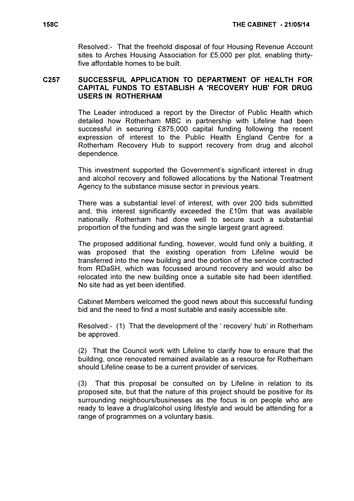Resolved:- That the freehold disposal of four Housing Revenue Account sites to Arches Housing Association for £5,000 per plot, enabling thirtyfive affordable homes to be built.

#### C257 SUCCESSFUL APPLICATION TO DEPARTMENT OF HEALTH FOR CAPITAL FUNDS TO ESTABLISH A 'RECOVERY HUB' FOR DRUG USERS IN ROTHERHAM

 The Leader introduced a report by the Director of Public Health which detailed how Rotherham MBC in partnership with Lifeline had been successful in securing £875,000 capital funding following the recent expression of interest to the Public Health England Centre for a Rotherham Recovery Hub to support recovery from drug and alcohol dependence.

This investment supported the Government's significant interest in drug and alcohol recovery and followed allocations by the National Treatment Agency to the substance misuse sector in previous years.

There was a substantial level of interest, with over 200 bids submitted and, this interest significantly exceeded the £10m that was available nationally. Rotherham had done well to secure such a substantial proportion of the funding and was the single largest grant agreed.

The proposed additional funding, however, would fund only a building, it was proposed that the existing operation from Lifeline would be transferred into the new building and the portion of the service contracted from RDaSH, which was focussed around recovery and would also be relocated into the new building once a suitable site had been identified. No site had as yet been identified.

Cabinet Members welcomed the good news about this successful funding bid and the need to find a most suitable and easily accessible site.

Resolved:- (1) That the development of the ' recovery' hub' in Rotherham be approved.

(2) That the Council work with Lifeline to clarify how to ensure that the building, once renovated remained available as a resource for Rotherham should Lifeline cease to be a current provider of services.

(3) That this proposal be consulted on by Lifeline in relation to its proposed site, but that the nature of this project should be positive for its surrounding neighbours/businesses as the focus is on people who are ready to leave a drug/alcohol using lifestyle and would be attending for a range of programmes on a voluntary basis.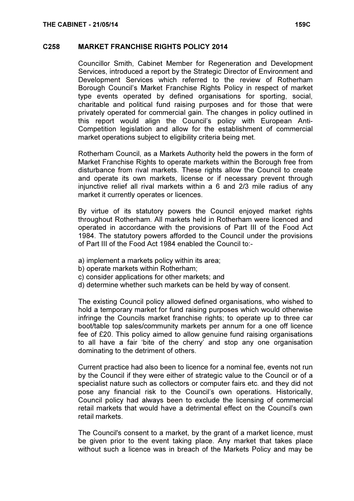#### C258 MARKET FRANCHISE RIGHTS POLICY 2014

 Councillor Smith, Cabinet Member for Regeneration and Development Services, introduced a report by the Strategic Director of Environment and Development Services which referred to the review of Rotherham Borough Council's Market Franchise Rights Policy in respect of market type events operated by defined organisations for sporting, social, charitable and political fund raising purposes and for those that were privately operated for commercial gain. The changes in policy outlined in this report would align the Council's policy with European Anti-Competition legislation and allow for the establishment of commercial market operations subject to eligibility criteria being met.

Rotherham Council, as a Markets Authority held the powers in the form of Market Franchise Rights to operate markets within the Borough free from disturbance from rival markets. These rights allow the Council to create and operate its own markets, license or if necessary prevent through injunctive relief all rival markets within a 6 and 2/3 mile radius of any market it currently operates or licences.

By virtue of its statutory powers the Council enjoyed market rights throughout Rotherham. All markets held in Rotherham were licenced and operated in accordance with the provisions of Part III of the Food Act 1984. The statutory powers afforded to the Council under the provisions of Part III of the Food Act 1984 enabled the Council to:-

- a) implement a markets policy within its area;
- b) operate markets within Rotherham;
- c) consider applications for other markets; and
- d) determine whether such markets can be held by way of consent.

The existing Council policy allowed defined organisations, who wished to hold a temporary market for fund raising purposes which would otherwise infringe the Councils market franchise rights; to operate up to three car boot/table top sales/community markets per annum for a one off licence fee of £20. This policy aimed to allow genuine fund raising organisations to all have a fair 'bite of the cherry' and stop any one organisation dominating to the detriment of others.

Current practice had also been to licence for a nominal fee, events not run by the Council if they were either of strategic value to the Council or of a specialist nature such as collectors or computer fairs etc. and they did not pose any financial risk to the Council's own operations. Historically, Council policy had always been to exclude the licensing of commercial retail markets that would have a detrimental effect on the Council's own retail markets.

The Council's consent to a market, by the grant of a market licence, must be given prior to the event taking place. Any market that takes place without such a licence was in breach of the Markets Policy and may be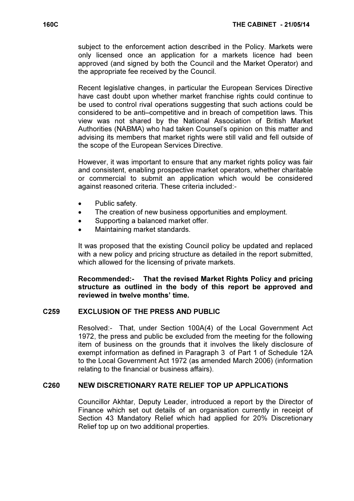subject to the enforcement action described in the Policy. Markets were only licensed once an application for a markets licence had been approved (and signed by both the Council and the Market Operator) and the appropriate fee received by the Council.

Recent legislative changes, in particular the European Services Directive have cast doubt upon whether market franchise rights could continue to be used to control rival operations suggesting that such actions could be considered to be anti–competitive and in breach of competition laws. This view was not shared by the National Association of British Market Authorities (NABMA) who had taken Counsel's opinion on this matter and advising its members that market rights were still valid and fell outside of the scope of the European Services Directive.

However, it was important to ensure that any market rights policy was fair and consistent, enabling prospective market operators, whether charitable or commercial to submit an application which would be considered against reasoned criteria. These criteria included:-

- Public safety.
- The creation of new business opportunities and employment.
- Supporting a balanced market offer.
- Maintaining market standards.

It was proposed that the existing Council policy be updated and replaced with a new policy and pricing structure as detailed in the report submitted, which allowed for the licensing of private markets.

Recommended:- That the revised Market Rights Policy and pricing structure as outlined in the body of this report be approved and reviewed in twelve months' time.

# C259 EXCLUSION OF THE PRESS AND PUBLIC

 Resolved:- That, under Section 100A(4) of the Local Government Act 1972, the press and public be excluded from the meeting for the following item of business on the grounds that it involves the likely disclosure of exempt information as defined in Paragraph 3 of Part 1 of Schedule 12A to the Local Government Act 1972 (as amended March 2006) (information relating to the financial or business affairs).

#### C260 NEW DISCRETIONARY RATE RELIEF TOP UP APPLICATIONS

 Councillor Akhtar, Deputy Leader, introduced a report by the Director of Finance which set out details of an organisation currently in receipt of Section 43 Mandatory Relief which had applied for 20% Discretionary Relief top up on two additional properties.